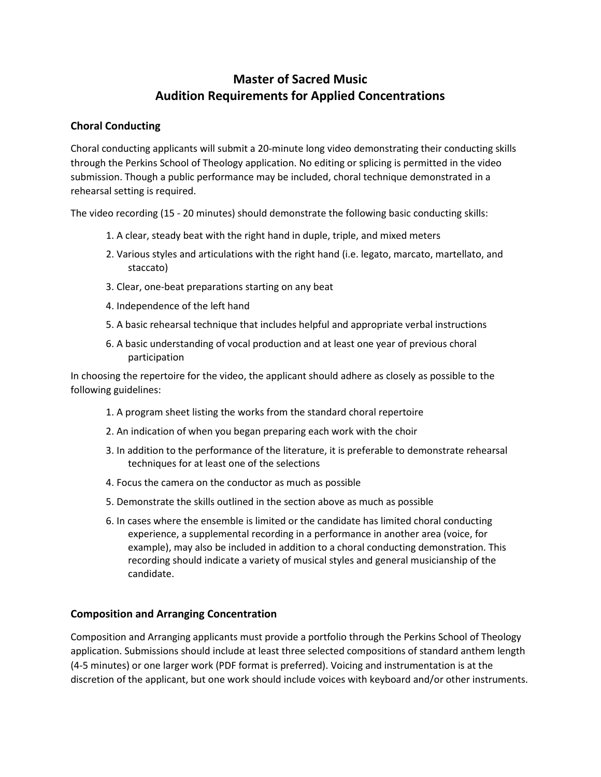# **Master of Sacred Music Audition Requirements for Applied Concentrations**

## **Choral Conducting**

Choral conducting applicants will submit a 20-minute long video demonstrating their conducting skills through the Perkins School of Theology application. No editing or splicing is permitted in the video submission. Though a public performance may be included, choral technique demonstrated in a rehearsal setting is required.

The video recording (15 - 20 minutes) should demonstrate the following basic conducting skills:

- 1. A clear, steady beat with the right hand in duple, triple, and mixed meters
- 2. Various styles and articulations with the right hand (i.e. legato, marcato, martellato, and staccato)
- 3. Clear, one-beat preparations starting on any beat
- 4. Independence of the left hand
- 5. A basic rehearsal technique that includes helpful and appropriate verbal instructions
- 6. A basic understanding of vocal production and at least one year of previous choral participation

In choosing the repertoire for the video, the applicant should adhere as closely as possible to the following guidelines:

- 1. A program sheet listing the works from the standard choral repertoire
- 2. An indication of when you began preparing each work with the choir
- 3. In addition to the performance of the literature, it is preferable to demonstrate rehearsal techniques for at least one of the selections
- 4. Focus the camera on the conductor as much as possible
- 5. Demonstrate the skills outlined in the section above as much as possible
- 6. In cases where the ensemble is limited or the candidate has limited choral conducting experience, a supplemental recording in a performance in another area (voice, for example), may also be included in addition to a choral conducting demonstration. This recording should indicate a variety of musical styles and general musicianship of the candidate.

## **Composition and Arranging Concentration**

Composition and Arranging applicants must provide a portfolio through the Perkins School of Theology application. Submissions should include at least three selected compositions of standard anthem length (4-5 minutes) or one larger work (PDF format is preferred). Voicing and instrumentation is at the discretion of the applicant, but one work should include voices with keyboard and/or other instruments.